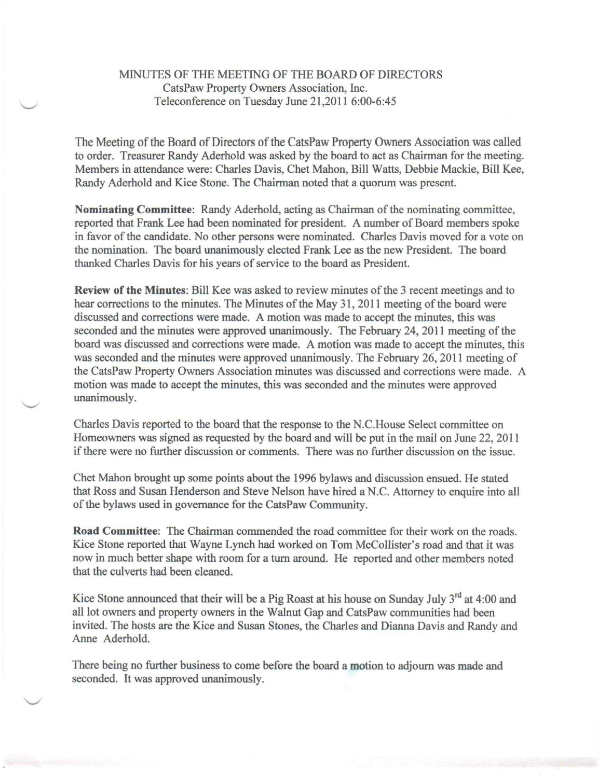## MINUTES OF THE MEETING OF THE BOARD OF DIRECTORS CatsPaw Property Owners Association, Inc. Teleconference on Tuesday June 21,2011 6:00-6:45

The Meeting of the Board of Directors of the CatsPaw Property Owners Association was called to order. Treasurer Randy Aderhold was asked by the board to act as Chairman for the meeting. Members in attendance were: Charles Davis, Chet Mahon, Bill Watts, Debbie Mackie, Bill Kee, Randy Aderhold and Kice Stone. The Chairman noted that a quorum was present.

Nominating Committee: Randy Aderhold, acting as Chairman of the nominating committee, reported that Frank Lee had been nominated for president. A number of Board members spoke in favor of the candidate. No other persons were nominated. Charles Davis moved for a vote on the nomination. The board unanimously elected Frank Lee as the new President. The board thanked Charles Davis for his years of service to the board as President.

Review of the Minutes: Bill Kee was asked to review minutes of the 3 recent meetings and to hear corrections to the minutes. The Minutes of the May 31, 2011 meeting of the board were discussed and corrections were made. A motion was made to accept the minutes, this was seconded and the minutes were approved unanimously. The February 24, 2011 meeting of the board was discussed and corrections were made. A motion was made to accept the minutes, this was seconded and the minutes were approved unanimously. The February 26,2011 meeting of the CatsPaw Property Owners Association minutes was discussed and corrections were made. A motion was made to accept the minutes, this was seconded and the minutes were approved unanimously.

Charles Davis reported to the board that the response to the N.C.House Select committee on Homeowners was signed as requested by the board and will be put in the mail on June 22, 2011 if there were no further discussion or comments. There was no further discussion on the issue.

Chet Mahon brought up some points about the 1996 bylaws and discussion ensued. He stated that Ross and Susan Henderson and Steve Nelson have hired a N.C. Attorney to enquire into all of the bylaws used in governance for the CatsPaw Community.

Road Committee: The Chairman commended the road committee for their work on the roads. Kice Stone reported that Wayne Lynch had worked on Tom McCollister's road and that it was now in much better shape with room for a turn around. He reported and other members noted that the culverts had been cleaned.

Kice Stone announced that their will be a Pig Roast at his house on Sunday July  $3<sup>rd</sup>$  at 4:00 and all lot owners and property owners in the Walnut Gap and CatsPaw communities had been invited. The hosts are the Kice and Susan Stones, the Charles and Dianna Davis and Randy and Anne Aderhold.

There being no further business to come before the board a motion to adjourn was made and seconded. It was approved unanimously.